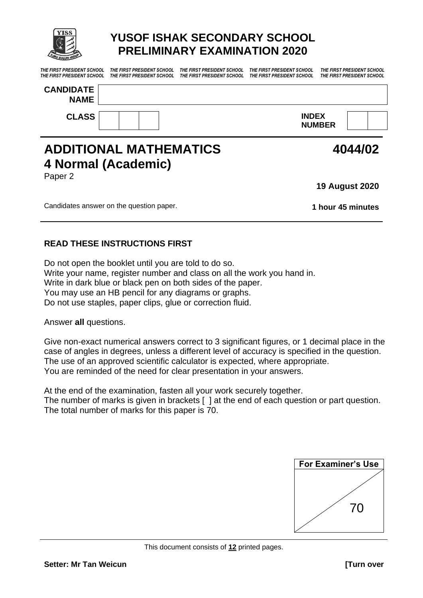

# **YUSOF ISHAK SECONDARY SCHOOL PRELIMINARY EXAMINATION 2020**

*THE FIRST PRESIDENT SCHOOL THE FIRST PRESIDENT SCHOOL THE FIRST PRESIDENT SCHOOL THE FIRST PRESIDENT SCHOOL THE FIRST PRESIDENT SCHOOL* 

*THE FIRST PRESIDENT SCHOOL THE FIRST PRESIDENT SCHOOL THE FIRST PRESIDENT SCHOOL THE FIRST PRESIDENT SCHOOL THE FIRST PRESIDENT SCHOOL* 

| <b>CANDIDATE</b><br><b>NAME</b> |  |                               |  |
|---------------------------------|--|-------------------------------|--|
| <b>CLASS</b>                    |  | <b>INDEX</b><br><b>NUMBER</b> |  |

## **ADDITIONAL MATHEMATICS 4 Normal (Academic)** Paper 2

**19 August 2020**

**4044/02**

Candidates answer on the question paper. **1 hour 45 minutes**

### **READ THESE INSTRUCTIONS FIRST**

Do not open the booklet until you are told to do so. Write your name, register number and class on all the work you hand in. Write in dark blue or black pen on both sides of the paper. You may use an HB pencil for any diagrams or graphs. Do not use staples, paper clips, glue or correction fluid.

Answer **all** questions.

Give non-exact numerical answers correct to 3 significant figures, or 1 decimal place in the case of angles in degrees, unless a different level of accuracy is specified in the question. The use of an approved scientific calculator is expected, where appropriate. You are reminded of the need for clear presentation in your answers.

At the end of the examination, fasten all your work securely together. The number of marks is given in brackets [ ] at the end of each question or part question. The total number of marks for this paper is 70.

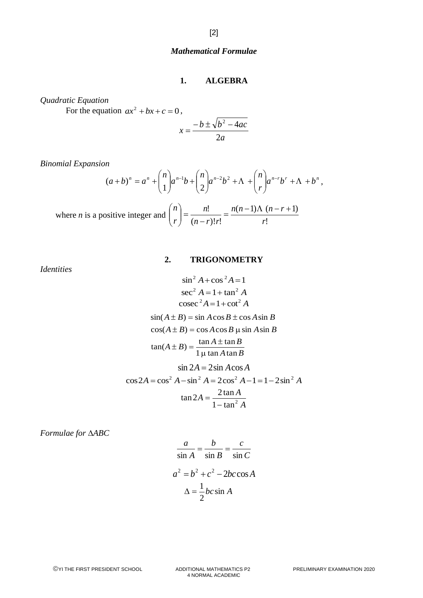#### *Mathematical Formulae*

#### **1. ALGEBRA**

*Quadratic Equation*

For the equation  $ax^2 + bx + c = 0$ ,

$$
x = \frac{-b \pm \sqrt{b^2 - 4ac}}{2a}
$$

*Binomial Expansion*

$$
(a+b)^n = a^n + {n \choose 1} a^{n-1}b + {n \choose 2} a^{n-2}b^2 + \Lambda + {n \choose r} a^{n-r}b^r + \Lambda + b^n,
$$

where *n* is a positive integer and 
$$
\binom{n}{r} = \frac{n!}{(n-r)!r!} = \frac{n(n-1)\Lambda(n-r+1)}{r!}
$$

*Identities*

#### **2. TRIGONOMETRY**

$$
\sin^2 A + \cos^2 A = 1
$$
  
\n
$$
\sec^2 A = 1 + \tan^2 A
$$
  
\n
$$
\csc^2 A = 1 + \cot^2 A
$$
  
\n
$$
\sin(A \pm B) = \sin A \cos B \pm \cos A \sin B
$$
  
\n
$$
\cos(A \pm B) = \cos A \cos B \mu \sin A \sin B
$$
  
\n
$$
\tan(A \pm B) = \frac{\tan A \pm \tan B}{1 \mu \tan A \tan B}
$$
  
\n
$$
\sin 2A = 2 \sin A \cos A
$$
  
\n
$$
\cos 2A = \cos^2 A - \sin^2 A = 2 \cos^2 A - 1 = 1 - 2 \sin^2 A
$$
  
\n
$$
\tan 2A = \frac{2 \tan A}{1 - \tan^2 A}
$$

*Formulae for ABC*

$$
\frac{a}{\sin A} = \frac{b}{\sin B} = \frac{c}{\sin C}
$$

$$
a^2 = b^2 + c^2 - 2bc \cos A
$$

$$
\Delta = \frac{1}{2}bc \sin A
$$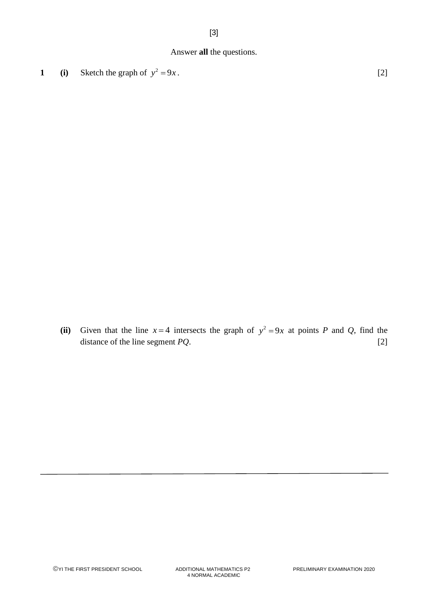### Answer **all** the questions.

**1** (i) Sketch the graph of  $y^2 = 9x$ . [2]

(ii) Given that the line  $x = 4$  intersects the graph of  $y^2 = 9x$  at points *P* and *Q*, find the distance of the line segment *PQ*. [2]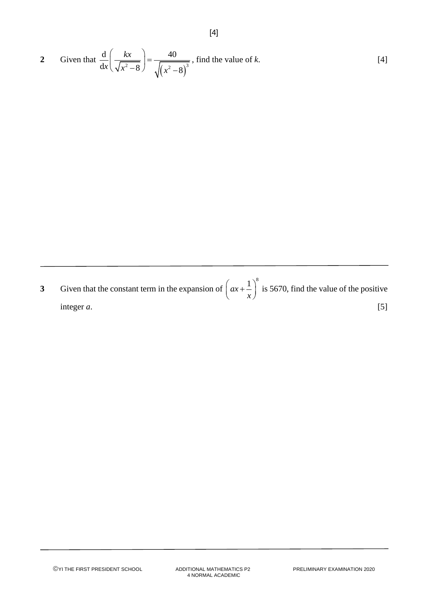2 Given that 
$$
\frac{d}{dx} \left( \frac{kx}{\sqrt{x^2 - 8}} \right) = \frac{40}{\sqrt{(x^2 - 8)^3}}
$$
, find the value of k. [4]

[4]

**3** Given that the constant term in the expansion of  $ax + \frac{1}{x}$  $\left(ax+\frac{1}{x}\right)^{x}$ is 5670, find the value of the positive integer  $a$ . [5]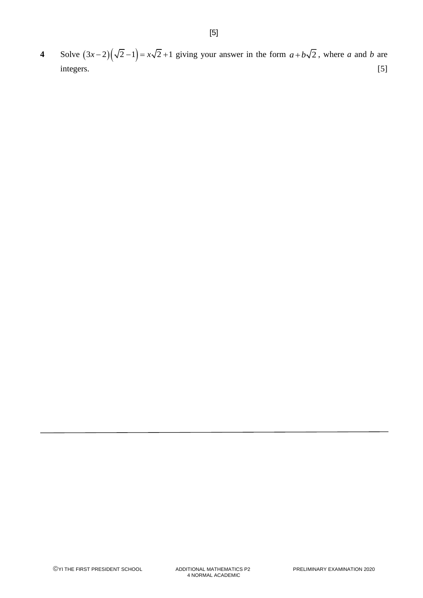**4** Solve  $(3x-2)(\sqrt{2}-1) = x\sqrt{2}+1$  giving your answer in the form  $a+b\sqrt{2}$ , where *a* and *b* are integers. [5]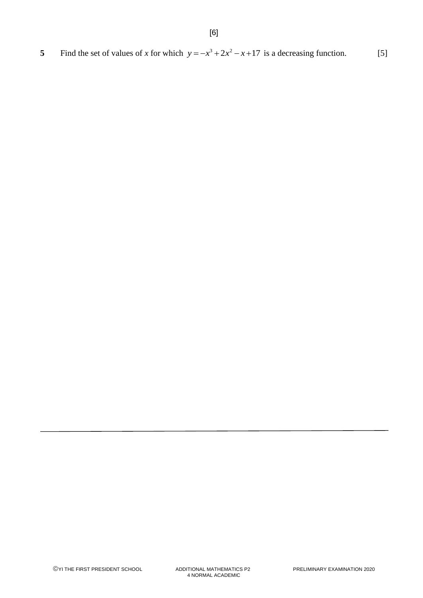**5** Find the set of values of *x* for which  $y = -x^3 + 2x^2 - x + 17$  is a decreasing function. [5]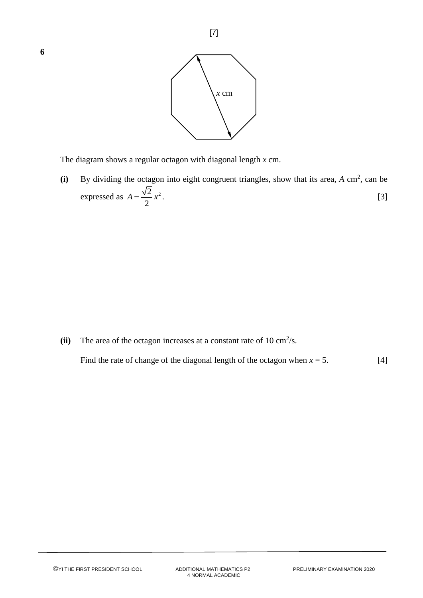

[7]

The diagram shows a regular octagon with diagonal length *x* cm.

 $(i)$  By dividing the octagon into eight congruent triangles, show that its area, *A* cm<sup>2</sup>, can be expressed as  $A = \frac{\sqrt{2}}{2}x^2$ 2  $A = \frac{\sqrt{2}}{2}x^2$ . [3]

(ii) The area of the octagon increases at a constant rate of  $10 \text{ cm}^2/\text{s}$ .

Find the rate of change of the diagonal length of the octagon when  $x = 5$ . [4]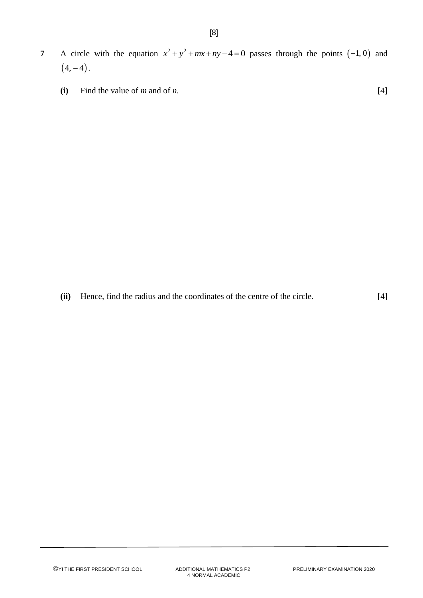- **7** A circle with the equation  $x^2 + y^2 + mx + ny 4 = 0$  passes through the points (-1, 0) and  $(4, -4)$ .
	- **(i)** Find the value of *m* and of *n*. [4]

**(ii)** Hence, find the radius and the coordinates of the centre of the circle. [4]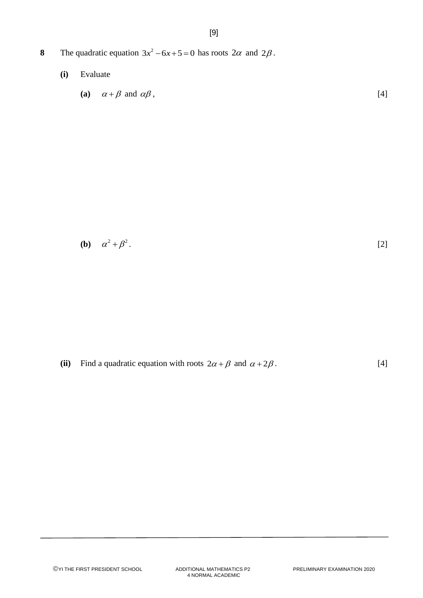- 8 The quadratic equation  $3x^2 6x + 5 = 0$  has roots  $2\alpha$  and  $2\beta$ .
	- **(i)** Evaluate

$$
(a) \quad \alpha + \beta \text{ and } \alpha\beta \tag{4}
$$

$$
(b) \quad \alpha^2 + \beta^2. \tag{2}
$$

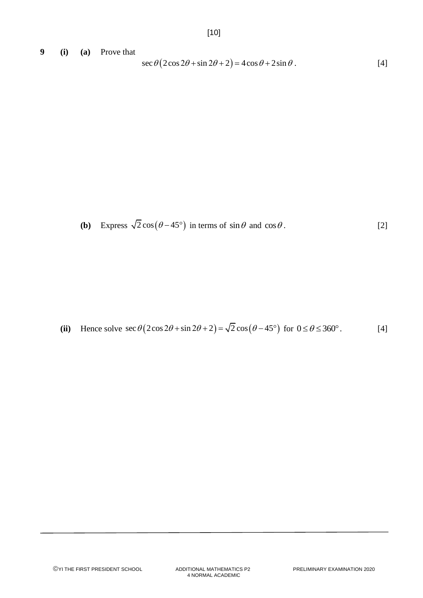**9 (i) (a)** Prove that  $\sec \theta (2\cos 2\theta + \sin 2\theta + 2) = 4\cos \theta + 2\sin \theta$ . [4]

$$
\sec \theta (2\cos 2\theta + \sin 2\theta + 2) = 4\cos \theta + 2\sin \theta.
$$
 [4]

**(b)** Express 
$$
\sqrt{2}\cos(\theta - 45^{\circ})
$$
 in terms of  $\sin \theta$  and  $\cos \theta$ . [2]

(ii) Hence solve  $\sec \theta (2\cos 2\theta + \sin 2\theta + 2) = \sqrt{2} \cos (\theta - 45^\circ)$  for  $0 \le \theta \le 360^\circ$ . [4]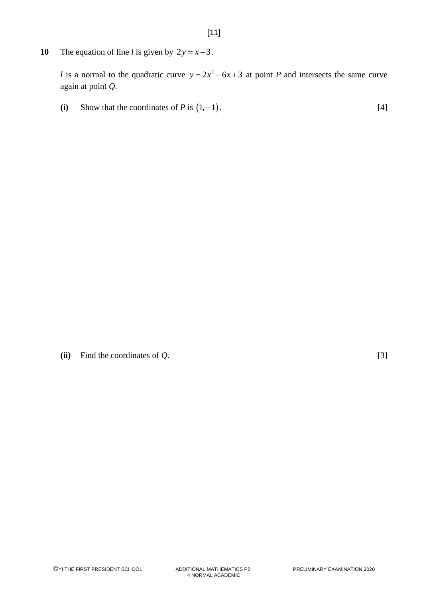**10** The equation of line *l* is given by  $2y = x-3$ .

*l* is a normal to the quadratic curve  $y = 2x^2 - 6x + 3$  at point *P* and intersects the same curve again at point *Q*.

(i) Show that the coordinates of *P* is  $(1, -1)$ . [4]

**(ii)** Find the coordinates of *Q*. [3]